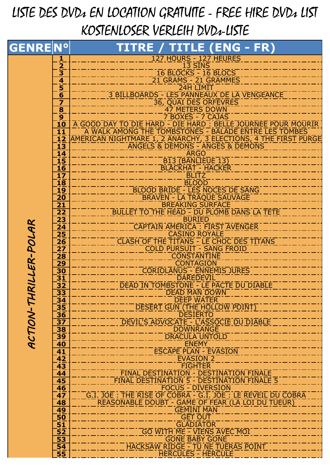## LISTE DES DVDs EN LOCATION GRATUITE - FREE HIRE DVDs LIST KOSTENLOSER VERLEIH DVDs-LISTE

| $\frac{1}{2}$<br>$13$ SINS<br>16 BLOCKS - 16 BLOCS<br>21 GRAMS - 21 GRAMMES<br>$\overline{\mathbf{4}}$<br>$rac{5}{6}$<br>24H LIMIT<br>3 BILLBOARDS - LES PANNEAUX DE LA VENGEANCE<br>36, QUAI DES ORFEVRES<br>$\overline{\mathbf{z}}$<br>$\overline{\mathbf{8}}$<br><b>47 METERS DOWN</b><br>$\overline{9}$<br>7 BOXES - 7 CAJAS<br>$\overline{\mathbf{10}}$<br>11<br>12<br>ANGELS & DEMONS - ANGES & DEMONS<br>$\overline{\mathbf{13}}$<br><b>ARGO</b><br><u>14</u><br>15<br><b>B13 (BANLIEUE 13)</b><br>$\overline{\mathbf{16}}$<br><b>BLACKHAT - HACKER</b><br><b>BLITZ</b><br>$\frac{17}{18}$<br><b>BLOOD</b><br><b>BLOOD BRIDE - LES NOCES DE SANG</b><br>19<br>BRAVEN - LA TRAQUE SAUVAGE<br>$\overline{20}$<br><b>BREAKING SURFACE</b><br>$\overline{21}$<br><b>BULLET TO THE HEAD - DU PLOMB DANS LA TÊTE</b><br>$\frac{22}{23}$<br>$\frac{23}{24}$<br><b>BURIED</b><br>RILLER-POLAR<br>CAPTAIN AMERICA : FIRST AVENGER<br>25<br><b>CASINO ROYALE</b><br>CLASH OF THE TITANS - LE CHOC DES TITANS<br>$\frac{26}{ }$<br>$\overline{\mathbf{27}}$<br><b>COLD PURSUIT - SANG FROID</b><br>$\overline{28}$<br><b>CONSTANTINE</b><br><b>29</b><br><b>CONTAGION</b><br><b>CORIOLANUS - ENNEMIS JURES</b><br>30<br><b>DAREDEVIL</b><br>$\overline{31}$<br>$3\overline{2}$<br>DEAD IN TOMBSTONE - LE PACTE DU DIABLE<br>33<br>DEAD MAN DOWN<br>ACTION-TH<br>3 <sub>4</sub><br><b>DEEP WATER</b><br>35<br>DESERT GUN (THE HOLLOW POINT)<br><b>DESIERTO</b><br>$\overline{\mathbf{36}}$<br>DEVIL'S ADVOCATE - L'ASSOCIE DU DIABLE<br>37<br><b>38</b><br><b>DOWNRANGE</b><br>39<br><b>DRACULA UNTOLD</b><br><b>ENEMY</b><br>$\overline{40}$<br><b>ESCAPE PLAN - EVASION</b><br>$\overline{41}$<br>$\overline{42}$<br><b>EVASION 2</b><br>$\overline{43}$<br><b>FIGHTER</b><br><b>FINAL DESTINATION - DESTINATION FINALE</b><br>$\overline{44}$<br>FINAL DESTINATION 5 - DESTINATION FINALE 5<br>45<br><b>FOCUS - DIVERSION</b><br>46<br>G.I. JOE : THE RISE OF COBRA - G.I. JOE : LE RÉVEIL DU COBRA<br>$\overline{47}$<br>REASONABLE DOUBT - GAME OF FEAR (LA LOI DU TUEUR)<br>$\overline{48}$<br><b>GEMINI MAN</b><br>49<br><b>GET OUT</b><br>$\overline{50}$<br>$\frac{51}{52}$<br><b>GLADIATOR</b><br><b>GO WITH ME - VIENS AVEC MOI</b><br>53<br><b>GONE BABY GONE</b><br>HACKSAW RIDGE - TU NE TUERAS POINT<br>54<br>$\overline{\mathbf{55}}$<br><b>HERCULES - HERCULE</b> | <b>GENRENº</b> | TITRE / TITLE (ENG - FR)                                      |
|-------------------------------------------------------------------------------------------------------------------------------------------------------------------------------------------------------------------------------------------------------------------------------------------------------------------------------------------------------------------------------------------------------------------------------------------------------------------------------------------------------------------------------------------------------------------------------------------------------------------------------------------------------------------------------------------------------------------------------------------------------------------------------------------------------------------------------------------------------------------------------------------------------------------------------------------------------------------------------------------------------------------------------------------------------------------------------------------------------------------------------------------------------------------------------------------------------------------------------------------------------------------------------------------------------------------------------------------------------------------------------------------------------------------------------------------------------------------------------------------------------------------------------------------------------------------------------------------------------------------------------------------------------------------------------------------------------------------------------------------------------------------------------------------------------------------------------------------------------------------------------------------------------------------------------------------------------------------------------------------------------------------------------------------------------------------------------------------------------------------------------------------------------------------------------------------------------------------------------------------------------------------------------------------------------------------------------------------------------------------------------|----------------|---------------------------------------------------------------|
|                                                                                                                                                                                                                                                                                                                                                                                                                                                                                                                                                                                                                                                                                                                                                                                                                                                                                                                                                                                                                                                                                                                                                                                                                                                                                                                                                                                                                                                                                                                                                                                                                                                                                                                                                                                                                                                                                                                                                                                                                                                                                                                                                                                                                                                                                                                                                                               |                | 127 HOURS - 127 HEURES                                        |
|                                                                                                                                                                                                                                                                                                                                                                                                                                                                                                                                                                                                                                                                                                                                                                                                                                                                                                                                                                                                                                                                                                                                                                                                                                                                                                                                                                                                                                                                                                                                                                                                                                                                                                                                                                                                                                                                                                                                                                                                                                                                                                                                                                                                                                                                                                                                                                               |                |                                                               |
|                                                                                                                                                                                                                                                                                                                                                                                                                                                                                                                                                                                                                                                                                                                                                                                                                                                                                                                                                                                                                                                                                                                                                                                                                                                                                                                                                                                                                                                                                                                                                                                                                                                                                                                                                                                                                                                                                                                                                                                                                                                                                                                                                                                                                                                                                                                                                                               |                |                                                               |
|                                                                                                                                                                                                                                                                                                                                                                                                                                                                                                                                                                                                                                                                                                                                                                                                                                                                                                                                                                                                                                                                                                                                                                                                                                                                                                                                                                                                                                                                                                                                                                                                                                                                                                                                                                                                                                                                                                                                                                                                                                                                                                                                                                                                                                                                                                                                                                               |                |                                                               |
|                                                                                                                                                                                                                                                                                                                                                                                                                                                                                                                                                                                                                                                                                                                                                                                                                                                                                                                                                                                                                                                                                                                                                                                                                                                                                                                                                                                                                                                                                                                                                                                                                                                                                                                                                                                                                                                                                                                                                                                                                                                                                                                                                                                                                                                                                                                                                                               |                | A GOOD DAY TO DIE HARD - DIE HARD : BELLE JOURNEE POUR MOURIR |
|                                                                                                                                                                                                                                                                                                                                                                                                                                                                                                                                                                                                                                                                                                                                                                                                                                                                                                                                                                                                                                                                                                                                                                                                                                                                                                                                                                                                                                                                                                                                                                                                                                                                                                                                                                                                                                                                                                                                                                                                                                                                                                                                                                                                                                                                                                                                                                               |                |                                                               |
|                                                                                                                                                                                                                                                                                                                                                                                                                                                                                                                                                                                                                                                                                                                                                                                                                                                                                                                                                                                                                                                                                                                                                                                                                                                                                                                                                                                                                                                                                                                                                                                                                                                                                                                                                                                                                                                                                                                                                                                                                                                                                                                                                                                                                                                                                                                                                                               |                |                                                               |
|                                                                                                                                                                                                                                                                                                                                                                                                                                                                                                                                                                                                                                                                                                                                                                                                                                                                                                                                                                                                                                                                                                                                                                                                                                                                                                                                                                                                                                                                                                                                                                                                                                                                                                                                                                                                                                                                                                                                                                                                                                                                                                                                                                                                                                                                                                                                                                               |                |                                                               |
|                                                                                                                                                                                                                                                                                                                                                                                                                                                                                                                                                                                                                                                                                                                                                                                                                                                                                                                                                                                                                                                                                                                                                                                                                                                                                                                                                                                                                                                                                                                                                                                                                                                                                                                                                                                                                                                                                                                                                                                                                                                                                                                                                                                                                                                                                                                                                                               |                |                                                               |
|                                                                                                                                                                                                                                                                                                                                                                                                                                                                                                                                                                                                                                                                                                                                                                                                                                                                                                                                                                                                                                                                                                                                                                                                                                                                                                                                                                                                                                                                                                                                                                                                                                                                                                                                                                                                                                                                                                                                                                                                                                                                                                                                                                                                                                                                                                                                                                               |                |                                                               |
|                                                                                                                                                                                                                                                                                                                                                                                                                                                                                                                                                                                                                                                                                                                                                                                                                                                                                                                                                                                                                                                                                                                                                                                                                                                                                                                                                                                                                                                                                                                                                                                                                                                                                                                                                                                                                                                                                                                                                                                                                                                                                                                                                                                                                                                                                                                                                                               |                |                                                               |
|                                                                                                                                                                                                                                                                                                                                                                                                                                                                                                                                                                                                                                                                                                                                                                                                                                                                                                                                                                                                                                                                                                                                                                                                                                                                                                                                                                                                                                                                                                                                                                                                                                                                                                                                                                                                                                                                                                                                                                                                                                                                                                                                                                                                                                                                                                                                                                               |                |                                                               |
|                                                                                                                                                                                                                                                                                                                                                                                                                                                                                                                                                                                                                                                                                                                                                                                                                                                                                                                                                                                                                                                                                                                                                                                                                                                                                                                                                                                                                                                                                                                                                                                                                                                                                                                                                                                                                                                                                                                                                                                                                                                                                                                                                                                                                                                                                                                                                                               |                |                                                               |
|                                                                                                                                                                                                                                                                                                                                                                                                                                                                                                                                                                                                                                                                                                                                                                                                                                                                                                                                                                                                                                                                                                                                                                                                                                                                                                                                                                                                                                                                                                                                                                                                                                                                                                                                                                                                                                                                                                                                                                                                                                                                                                                                                                                                                                                                                                                                                                               |                |                                                               |
|                                                                                                                                                                                                                                                                                                                                                                                                                                                                                                                                                                                                                                                                                                                                                                                                                                                                                                                                                                                                                                                                                                                                                                                                                                                                                                                                                                                                                                                                                                                                                                                                                                                                                                                                                                                                                                                                                                                                                                                                                                                                                                                                                                                                                                                                                                                                                                               |                |                                                               |
|                                                                                                                                                                                                                                                                                                                                                                                                                                                                                                                                                                                                                                                                                                                                                                                                                                                                                                                                                                                                                                                                                                                                                                                                                                                                                                                                                                                                                                                                                                                                                                                                                                                                                                                                                                                                                                                                                                                                                                                                                                                                                                                                                                                                                                                                                                                                                                               |                |                                                               |
|                                                                                                                                                                                                                                                                                                                                                                                                                                                                                                                                                                                                                                                                                                                                                                                                                                                                                                                                                                                                                                                                                                                                                                                                                                                                                                                                                                                                                                                                                                                                                                                                                                                                                                                                                                                                                                                                                                                                                                                                                                                                                                                                                                                                                                                                                                                                                                               |                |                                                               |
|                                                                                                                                                                                                                                                                                                                                                                                                                                                                                                                                                                                                                                                                                                                                                                                                                                                                                                                                                                                                                                                                                                                                                                                                                                                                                                                                                                                                                                                                                                                                                                                                                                                                                                                                                                                                                                                                                                                                                                                                                                                                                                                                                                                                                                                                                                                                                                               |                |                                                               |
|                                                                                                                                                                                                                                                                                                                                                                                                                                                                                                                                                                                                                                                                                                                                                                                                                                                                                                                                                                                                                                                                                                                                                                                                                                                                                                                                                                                                                                                                                                                                                                                                                                                                                                                                                                                                                                                                                                                                                                                                                                                                                                                                                                                                                                                                                                                                                                               |                |                                                               |
|                                                                                                                                                                                                                                                                                                                                                                                                                                                                                                                                                                                                                                                                                                                                                                                                                                                                                                                                                                                                                                                                                                                                                                                                                                                                                                                                                                                                                                                                                                                                                                                                                                                                                                                                                                                                                                                                                                                                                                                                                                                                                                                                                                                                                                                                                                                                                                               |                |                                                               |
|                                                                                                                                                                                                                                                                                                                                                                                                                                                                                                                                                                                                                                                                                                                                                                                                                                                                                                                                                                                                                                                                                                                                                                                                                                                                                                                                                                                                                                                                                                                                                                                                                                                                                                                                                                                                                                                                                                                                                                                                                                                                                                                                                                                                                                                                                                                                                                               |                |                                                               |
|                                                                                                                                                                                                                                                                                                                                                                                                                                                                                                                                                                                                                                                                                                                                                                                                                                                                                                                                                                                                                                                                                                                                                                                                                                                                                                                                                                                                                                                                                                                                                                                                                                                                                                                                                                                                                                                                                                                                                                                                                                                                                                                                                                                                                                                                                                                                                                               |                |                                                               |
|                                                                                                                                                                                                                                                                                                                                                                                                                                                                                                                                                                                                                                                                                                                                                                                                                                                                                                                                                                                                                                                                                                                                                                                                                                                                                                                                                                                                                                                                                                                                                                                                                                                                                                                                                                                                                                                                                                                                                                                                                                                                                                                                                                                                                                                                                                                                                                               |                |                                                               |
|                                                                                                                                                                                                                                                                                                                                                                                                                                                                                                                                                                                                                                                                                                                                                                                                                                                                                                                                                                                                                                                                                                                                                                                                                                                                                                                                                                                                                                                                                                                                                                                                                                                                                                                                                                                                                                                                                                                                                                                                                                                                                                                                                                                                                                                                                                                                                                               |                |                                                               |
|                                                                                                                                                                                                                                                                                                                                                                                                                                                                                                                                                                                                                                                                                                                                                                                                                                                                                                                                                                                                                                                                                                                                                                                                                                                                                                                                                                                                                                                                                                                                                                                                                                                                                                                                                                                                                                                                                                                                                                                                                                                                                                                                                                                                                                                                                                                                                                               |                |                                                               |
|                                                                                                                                                                                                                                                                                                                                                                                                                                                                                                                                                                                                                                                                                                                                                                                                                                                                                                                                                                                                                                                                                                                                                                                                                                                                                                                                                                                                                                                                                                                                                                                                                                                                                                                                                                                                                                                                                                                                                                                                                                                                                                                                                                                                                                                                                                                                                                               |                |                                                               |
|                                                                                                                                                                                                                                                                                                                                                                                                                                                                                                                                                                                                                                                                                                                                                                                                                                                                                                                                                                                                                                                                                                                                                                                                                                                                                                                                                                                                                                                                                                                                                                                                                                                                                                                                                                                                                                                                                                                                                                                                                                                                                                                                                                                                                                                                                                                                                                               |                |                                                               |
|                                                                                                                                                                                                                                                                                                                                                                                                                                                                                                                                                                                                                                                                                                                                                                                                                                                                                                                                                                                                                                                                                                                                                                                                                                                                                                                                                                                                                                                                                                                                                                                                                                                                                                                                                                                                                                                                                                                                                                                                                                                                                                                                                                                                                                                                                                                                                                               |                |                                                               |
|                                                                                                                                                                                                                                                                                                                                                                                                                                                                                                                                                                                                                                                                                                                                                                                                                                                                                                                                                                                                                                                                                                                                                                                                                                                                                                                                                                                                                                                                                                                                                                                                                                                                                                                                                                                                                                                                                                                                                                                                                                                                                                                                                                                                                                                                                                                                                                               |                |                                                               |
|                                                                                                                                                                                                                                                                                                                                                                                                                                                                                                                                                                                                                                                                                                                                                                                                                                                                                                                                                                                                                                                                                                                                                                                                                                                                                                                                                                                                                                                                                                                                                                                                                                                                                                                                                                                                                                                                                                                                                                                                                                                                                                                                                                                                                                                                                                                                                                               |                |                                                               |
|                                                                                                                                                                                                                                                                                                                                                                                                                                                                                                                                                                                                                                                                                                                                                                                                                                                                                                                                                                                                                                                                                                                                                                                                                                                                                                                                                                                                                                                                                                                                                                                                                                                                                                                                                                                                                                                                                                                                                                                                                                                                                                                                                                                                                                                                                                                                                                               |                |                                                               |
|                                                                                                                                                                                                                                                                                                                                                                                                                                                                                                                                                                                                                                                                                                                                                                                                                                                                                                                                                                                                                                                                                                                                                                                                                                                                                                                                                                                                                                                                                                                                                                                                                                                                                                                                                                                                                                                                                                                                                                                                                                                                                                                                                                                                                                                                                                                                                                               |                |                                                               |
|                                                                                                                                                                                                                                                                                                                                                                                                                                                                                                                                                                                                                                                                                                                                                                                                                                                                                                                                                                                                                                                                                                                                                                                                                                                                                                                                                                                                                                                                                                                                                                                                                                                                                                                                                                                                                                                                                                                                                                                                                                                                                                                                                                                                                                                                                                                                                                               |                |                                                               |
|                                                                                                                                                                                                                                                                                                                                                                                                                                                                                                                                                                                                                                                                                                                                                                                                                                                                                                                                                                                                                                                                                                                                                                                                                                                                                                                                                                                                                                                                                                                                                                                                                                                                                                                                                                                                                                                                                                                                                                                                                                                                                                                                                                                                                                                                                                                                                                               |                |                                                               |
|                                                                                                                                                                                                                                                                                                                                                                                                                                                                                                                                                                                                                                                                                                                                                                                                                                                                                                                                                                                                                                                                                                                                                                                                                                                                                                                                                                                                                                                                                                                                                                                                                                                                                                                                                                                                                                                                                                                                                                                                                                                                                                                                                                                                                                                                                                                                                                               |                |                                                               |
|                                                                                                                                                                                                                                                                                                                                                                                                                                                                                                                                                                                                                                                                                                                                                                                                                                                                                                                                                                                                                                                                                                                                                                                                                                                                                                                                                                                                                                                                                                                                                                                                                                                                                                                                                                                                                                                                                                                                                                                                                                                                                                                                                                                                                                                                                                                                                                               |                |                                                               |
|                                                                                                                                                                                                                                                                                                                                                                                                                                                                                                                                                                                                                                                                                                                                                                                                                                                                                                                                                                                                                                                                                                                                                                                                                                                                                                                                                                                                                                                                                                                                                                                                                                                                                                                                                                                                                                                                                                                                                                                                                                                                                                                                                                                                                                                                                                                                                                               |                |                                                               |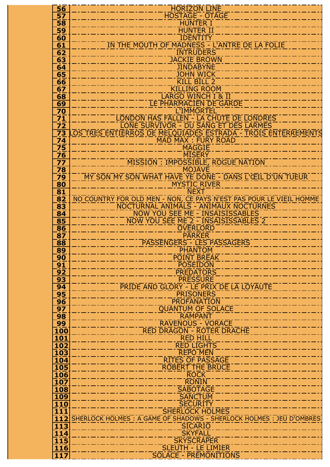| 56                                     | <b>HORIZON LINE</b>                                                                                          |
|----------------------------------------|--------------------------------------------------------------------------------------------------------------|
| 57                                     | <b>HOSTAGE - OTAGE</b>                                                                                       |
| $\overline{\mathbf{58}}$               | <b>HUNTER I</b>                                                                                              |
| 59<br>60                               | <b>HUNTER II</b><br><b>IDENTITY</b>                                                                          |
| 61                                     | IN THE MOUTH OF MADNESS - L'ANTRE DE LA FOLIE                                                                |
| 62                                     | <b>INTRUDERS</b>                                                                                             |
| $\overline{63}$                        | <b>JACKIE BROWN</b>                                                                                          |
| 64                                     | <b>JINDABYNE</b>                                                                                             |
| 65                                     | <b>JOHN WICK</b>                                                                                             |
| 66                                     | <b>KILL BILL 2</b>                                                                                           |
| 67<br>68                               | <b>KILLING ROOM</b><br><b>LARGO WINCH I &amp; II</b>                                                         |
| 69                                     | LE PHARMACIEN DE GARDE                                                                                       |
| <u>70</u>                              | <b>L'IMMORTEL</b>                                                                                            |
| $\overline{71}$                        | LONDON HAS FALLEN - LA CHUTE DE LONDRES                                                                      |
| 72                                     | LONE SURVIVOR - DU SANG ET DES LARMES                                                                        |
| $\overline{73}$                        | OS TRES ENTIERROS DE MELQUIADES ESTRADA - TROIS ENTERREMENTS                                                 |
| 74                                     | MAD MAX : FURY ROAD                                                                                          |
| $\overline{75}$<br>76                  | <b>MAGGIE</b><br><b>MISERY</b>                                                                               |
| $\overline{77}$                        | <b>MISSION : IMPOSSIBLE, ROGUE NATION</b>                                                                    |
| 78                                     | <b>MOJAVE</b>                                                                                                |
| $\overline{79}$                        | MY SON MY SON WHAT HAVE YE DONE - DANS L'ŒIL D'UN TUEUR                                                      |
| $\overline{\bf 80}$                    | <b>MYSTIC RIVER</b>                                                                                          |
| 81                                     | <b>NEXT</b>                                                                                                  |
| 82                                     | NO COUNTRY FOR OLD MEN - NON, CE PAYS N'EST PAS POUR LE VIEIL HOMME<br>NOCTURNAL ANIMALS - ANIMAUX NOCTURNES |
| 83<br>84                               | NOW YOU SEE ME - INSAISISSABLES                                                                              |
| 85                                     | NOW YOU SEE ME 2 - INSAISISSABLES 2                                                                          |
| 86                                     | <b>OVERLORD</b>                                                                                              |
| $8\overline{7}$                        | <b>PARKER</b>                                                                                                |
| 88                                     | PASSENGERS - LES PASSAGERS                                                                                   |
| 89<br>90                               | <b>PHANTOM</b><br><b>POINT BREAK</b>                                                                         |
| 91                                     | <b>POSEIDON</b>                                                                                              |
| $9\overline{2}$                        | <b>PREDATORS</b>                                                                                             |
| 93                                     | <b>PRESSURE</b>                                                                                              |
| 94                                     | PRIDE AND GLORY - LE PRIX DE LA LOYAUTÉ                                                                      |
| 95                                     | <b>PRISONERS</b>                                                                                             |
| 96<br>$\overline{97}$                  | PROFANATION<br><b>OUANTUM OF SOLACE</b>                                                                      |
| 98                                     | <b>RAMPANT</b>                                                                                               |
| 99                                     | <b>RAVENOUS - VORACE</b>                                                                                     |
| 100                                    | <b>RED DRAGON - ROTER DRACHE</b>                                                                             |
| 101                                    | <b>RED HILL</b>                                                                                              |
| 102<br>103                             | <b>RED LIGHTS</b><br><b>REPO MEN</b>                                                                         |
| 104                                    | <b>RITES OF PASSAGE</b>                                                                                      |
| 105                                    | <b>ROBERT THE BRUCE</b>                                                                                      |
| 106                                    | <b>ROCK</b>                                                                                                  |
| 107                                    | <b>RONIN</b>                                                                                                 |
| 108                                    | <b>SABOTAGE</b><br><b>SANCTUM</b>                                                                            |
| 109<br>110                             | <b>SECURITY</b>                                                                                              |
| $\overline{111}$                       | <b>SHERLOCK HOLMES</b>                                                                                       |
| 112                                    | SHERLOCK HOLMES: A GAME OF SHADOWS - SHERLOCK HOLMES: JEU D'OMBRES                                           |
| 113                                    | <b>SICARIO</b>                                                                                               |
| $\overline{1}\overline{1}\overline{4}$ | <b>SKYFALL</b>                                                                                               |
| $\overline{115}$<br>116                | <b>SKYSCRAPER</b><br><b>SLEUTH - LE LIMIER</b>                                                               |
| 117                                    | <b>SOLACE - PRÉMONITIONS</b>                                                                                 |

 *ACTION-THRILLER-POLAR*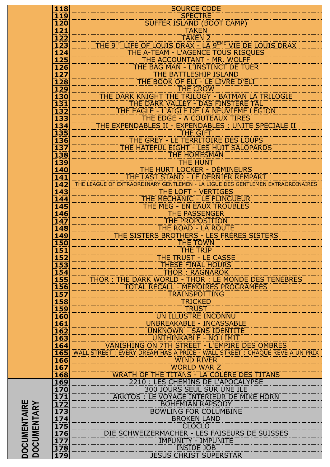|                                           | <b>118</b>                                           | <b>SOURCE CODE</b>                                                                                                         |
|-------------------------------------------|------------------------------------------------------|----------------------------------------------------------------------------------------------------------------------------|
|                                           | 119<br><b>120</b>                                    | <b>SPECTRE</b><br>SUFFER ISLAND (BOOT CAMP)                                                                                |
|                                           | 121                                                  | <b>TAKEN</b>                                                                                                               |
|                                           | 122                                                  | <b>TAKEN 2</b>                                                                                                             |
|                                           | $\overline{123}$<br>124                              | THE 9 <sup>TH</sup> LIFE OF LOUIS DRAX - LA 9 <sup>EME</sup> VIE DE LOUIS DRAX<br>THE A-TEAM - L'AGENCE TOUS RISOUES       |
|                                           | <b>125</b>                                           | THE ACCOUNTANT - MR. WOLFF                                                                                                 |
|                                           | 126                                                  | THE BAG MAN - L'INSTINCT DE TUER                                                                                           |
|                                           | $\overline{\bf 1} \overline{\bf 2} \overline{\bf 7}$ | <b>THE BATTLESHIP ISLAND</b>                                                                                               |
|                                           | 128<br><b>129</b>                                    | THE BOOK OF ELI - LE LIVRE D'ELI<br><b>THE CROW</b>                                                                        |
|                                           | <b>130</b>                                           | THE DARK KNIGHT THE TRILOGY - BATMAN LA TRILOGIE                                                                           |
|                                           | $\overline{\bf 1} \overline{\bf 3} \overline{\bf 1}$ | THE DARK VALLEY - DAS FINSTERE TAL                                                                                         |
|                                           | 132<br>133                                           | THE EAGLE - L'AIGLE DE LA NEUVIÈME LEGION<br>THE EDGE - À COUTEAUX TIRÉS                                                   |
|                                           | 134                                                  | THE EXPENDABLES II - EXPENDABLES : UNITÉ SPÉCIALE II                                                                       |
|                                           | $\overline{135}$                                     | THE GIFT                                                                                                                   |
|                                           | 136<br><b>137</b>                                    | THE GREY - LE TERRITOIRE DES LOUPS<br>THE HATEFUL EIGHT - LES HUIT SALOPARDS                                               |
|                                           | 138                                                  | <b>THE HOMESMAN</b>                                                                                                        |
|                                           | 139                                                  | <b>THE HUNT</b>                                                                                                            |
|                                           | 140<br>141                                           | THE HURT LOCKER - DEMINEURS<br>THE LAST STAND - LE DERNIER REMPART                                                         |
|                                           | 142                                                  | THE LEAGUE OF EXTRAORDINARY GENTLEMEN - LA LIGUE DES GENTLEMEN EXTRAORDINAIRES                                             |
|                                           | 143                                                  | <b>THE LOFT - VERTIGES</b>                                                                                                 |
|                                           | $\overline{144}$<br>145                              | THE MECHANIC - LE FLINGUEUR<br>THE MEG - EN EAUX TROUBLES                                                                  |
|                                           | 146                                                  | <b>THE PASSENGER</b>                                                                                                       |
|                                           | 147                                                  | THE PROPOSITION                                                                                                            |
|                                           | 148<br><b>149</b>                                    | THE ROAD - LA ROUTE<br>THE SISTERS BROTHERS - LES FRERES SISTERS                                                           |
|                                           | <b>150</b>                                           | <b>THE TOWN</b>                                                                                                            |
|                                           | $\overline{151}$                                     | <u>THE TRIP</u>                                                                                                            |
|                                           | <b>152</b><br>153                                    | THE TRUST - LE CASSE<br><b>THESE FINAL HOURS</b>                                                                           |
|                                           | 154                                                  | <b>THOR: RAGNAROK</b>                                                                                                      |
|                                           | $\overline{155}$                                     | THOR : THE DARK WORLD - THOR : LE MONDE DES TENEBRES                                                                       |
|                                           | $\overline{156}$<br><b>157</b>                       | TOTAL RECALL - MEMOIRES PROGRAMÉES<br>TRAINSPOTTING                                                                        |
|                                           | <b>158</b>                                           | <b>TRICKED</b>                                                                                                             |
|                                           | <b>159</b>                                           | <b>TRUST</b>                                                                                                               |
|                                           | <b>160</b><br>161                                    | UN ILLUSTRE INCONNU<br>UNBREAKABLE - INCASSABLE                                                                            |
|                                           | $\overline{\textbf{162}}$                            | <b>UNKNOWN - SANS IDENTITE</b>                                                                                             |
|                                           | 163                                                  | UNTHINKABLE - NO LIMIT                                                                                                     |
|                                           | 164<br>165                                           | VANISHING ON 7TH STREET - L'EMPIRE DES OMBRES<br>WALL STREET: EVERY DREAM HAS A PRICE - WALL STREET: CHAQUE RÊVE A UN PRIX |
|                                           | <u>166</u>                                           | <b>WIND RIVER</b>                                                                                                          |
|                                           | $\overline{\mathbf{167}}$                            | <b>WORLD WAR Z</b>                                                                                                         |
|                                           | 168<br><u>169</u>                                    | WRATH OF THE TITANS - LA COLERE DES TITANS<br>2210 : LES CHEMINS DE L'APOCALYPSE                                           |
|                                           | 170                                                  | 300 JOURS SEUL SUR UNE TLE                                                                                                 |
|                                           | $\frac{171}{172}$                                    | ARKTOS : LE VOYAGE INTÉRIEUR DE MIKE HORN<br><b>BOHEMIAN RAPSODY</b>                                                       |
|                                           | 173                                                  | <b>BOWLING FOR COLUMBINE</b>                                                                                               |
|                                           | 174                                                  | <b>BROKEN LAND</b>                                                                                                         |
|                                           | $\overline{175}$                                     | <b>CLOCLO</b>                                                                                                              |
|                                           | $\overline{176}$                                     | DIE SCHWEIZERMACHER - LES FAISEURS DE SUISSES<br><b>IMPUNITY - IMPUNITE</b>                                                |
| <b>DOCUMENTAIRE</b><br><b>DOCUMENTARY</b> | $\frac{\overline{177}}{\overline{178}}$              | <b>INSIDE JOB</b>                                                                                                          |
|                                           | 179                                                  | <b>JESUS CHRIST SUPERSTAR</b>                                                                                              |
|                                           |                                                      |                                                                                                                            |
|                                           |                                                      |                                                                                                                            |
|                                           |                                                      |                                                                                                                            |
|                                           |                                                      |                                                                                                                            |
|                                           |                                                      |                                                                                                                            |
|                                           |                                                      |                                                                                                                            |
|                                           |                                                      |                                                                                                                            |
|                                           |                                                      |                                                                                                                            |

 *ACTION-THRILLER-POLAR*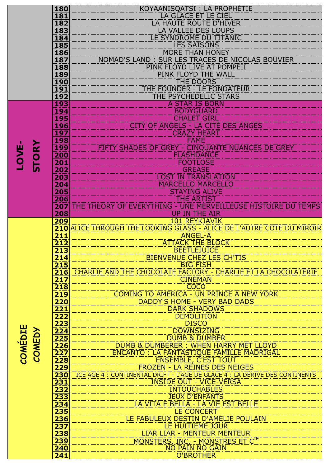|                          | 180<br>181                                           | KOYAANISQATSI : LA PROPHETIE<br>LA GLACE ET LE CIEL                                                           |
|--------------------------|------------------------------------------------------|---------------------------------------------------------------------------------------------------------------|
|                          | 182                                                  | <b>LA HAUTE ROUTE D'HIVER</b>                                                                                 |
|                          | 183<br>184                                           | LA VALLEE DES LOUPS<br>LE SYNDROME DU TITANIC                                                                 |
|                          | <b>185</b>                                           | <b>LES SAISONS</b>                                                                                            |
|                          | $\frac{186}{187}$                                    | <b>MORE THAN HONEY</b><br>NOMAD'S LAND : SUR LES TRACES DE NICOLAS BOUVIER                                    |
|                          | 188                                                  | PINK FLOYD LIVE AT POMPEII                                                                                    |
|                          | 189<br>190                                           | PINK FLOYD THE WALL<br><b>THE DOORS</b>                                                                       |
|                          | 191                                                  | THE FOUNDER - LE FONDATEUR                                                                                    |
|                          | $\overline{1}\overline{9}\overline{2}$<br><u>193</u> | THE PSYCHEDELIC STARS<br><b>A STAR IS BORN</b>                                                                |
|                          | 194                                                  | <b>BODYGUARD</b>                                                                                              |
|                          | <b>195</b><br>196                                    | <b>CHALET GIRL</b><br><b>CITY OF ANGELS - LA CITE DES ANGES</b>                                               |
|                          | 197                                                  | <b>CRAZY HEART</b>                                                                                            |
|                          | <b>198</b><br><u>199</u>                             | FAMĒ<br>FIFTY SHADES OF GREY - CINQUANTE NUANCES DE GREY                                                      |
|                          | 200                                                  | <b>FLASHDANCE</b>                                                                                             |
| STORY<br><b>LOVE</b>     | 201<br>202                                           | <b>FOOTLOSE</b><br><b>GREASE</b>                                                                              |
|                          | 203                                                  | <b>LOST IN TRANSLATION</b>                                                                                    |
|                          | $\overline{204}$                                     | <b>MARCELLO MARCELLO</b>                                                                                      |
|                          | 205<br>206                                           | <b>STAYING ALIVE</b><br><b>THE ARTIST</b>                                                                     |
|                          | 207                                                  | THE THEORY OF EVERYTHING - UNE MERVEILLEUSE HISTOIRE DU TEMPS<br>UP IN THE AIR                                |
|                          | 208<br>209                                           | <b>101 REYKJAVIK</b>                                                                                          |
|                          |                                                      | <b>210 ALICE THROUGH THE LOOKING GLASS - ALICE DE L'AUTRE CÔTÉ DU MIROIR</b>                                  |
|                          |                                                      |                                                                                                               |
|                          | $\overline{211}$                                     | <b>ANGEL-A</b><br><b>ATTACK THE BLOCK</b>                                                                     |
|                          | $\overline{212}$<br>213                              | <b>BEETLEJUICE</b>                                                                                            |
|                          | 214                                                  | <b>BIENVENUE CHEZ LES CH'TIS</b>                                                                              |
|                          | $\overline{215}$<br>216                              | <b>BIG FISH</b><br>CHARLIE AND THE CHOCOLATE FACTORY - CHARLIE ET LA CHOCOLATERIE                             |
|                          | $\overline{217}$                                     | <b>CINEMAN</b>                                                                                                |
|                          | 218<br>219                                           | <b>COCO</b><br><b>COMING TO AMERICA - UN PRINCE A NEW YORK</b>                                                |
|                          | <b>220</b>                                           | DADDY'S HOME - VERY BAD DADS                                                                                  |
|                          | <b>221</b><br>222                                    | <b>DARK SHADOWS</b><br><b>DEMOLITION</b>                                                                      |
|                          | 223                                                  | <b>DISCO</b>                                                                                                  |
|                          | $\overline{\bf 2\overline{24}}$<br>225               | <b>DOWNSIZING</b><br><b>DUMB &amp; DUMBER</b>                                                                 |
|                          | $\overline{{}^{226}}$                                | DUMB & DUMBERER : WHEN HARRY MET LLOYD                                                                        |
| <b>COMÉDIE</b><br>COMEDY | $\overline{{\bf 227}}$<br>$\overline{228}$           | ENCANTO : LA FANTASTIQUE FAMILLE MADRIGAL<br><b>ENSEMBLE, C'EST TOUT</b>                                      |
|                          | <b>229</b>                                           | <b>FROZEN - LA REINES DES NEIGES</b>                                                                          |
|                          | 230<br>$\overline{{}231}$                            | ICE AGE 4 : CONTINENTAL DRIFT - L'AGE DE GLACE 4 : LA DÉRIVE DES CONTINENTS<br><b>TNSIDE OUT - VICE-VERSA</b> |
|                          | 232                                                  | <b>INTOUCHABLES</b>                                                                                           |
|                          | 233<br>234                                           | <b>JEUX D'ENFANTS</b><br>LA VITA È BELLA - LA VIE EST BELLE                                                   |
|                          | 235                                                  | <b>LE CONCERT</b>                                                                                             |
|                          | 236<br>237                                           | <u>LE FABULEUX DESTIN D'AMÉLIE POULAIN</u><br><b>LE HUITIÈME JOUR</b>                                         |
|                          | 238                                                  | LIAR LIAR - MENTEUR MENTEUR                                                                                   |
|                          | 239<br><b>240</b>                                    | MONSTERS, INC. - MONSTRES ET CTE<br>NO PAIN NO GAIN                                                           |
|                          | 241                                                  | O'BROTHER                                                                                                     |
|                          |                                                      |                                                                                                               |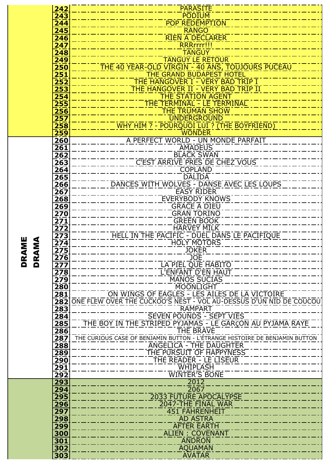|             | 242                                  | <b>PARASITE</b>                                                             |
|-------------|--------------------------------------|-----------------------------------------------------------------------------|
|             | 243                                  | <b>PODIUM</b>                                                               |
|             | $\overline{244}$                     | <b>POP REDEMPTION</b>                                                       |
|             | 245                                  | <b>RANGO</b>                                                                |
|             | 246                                  | <b>RIEN A DECLARER</b>                                                      |
|             | $\overline{247}$                     | RRRrrrr!!!                                                                  |
|             | 248                                  | <b>TANGUY</b>                                                               |
|             | 249                                  | <b>TANGUY LE RETOUR</b>                                                     |
|             | $\overline{250}$                     | <u>THE 40 YEAR-OLD VIRGIN - 40 ANS, TOUJOURS PUCEAU</u>                     |
|             | 251                                  | THE GRAND BUDAPEST HOTEL                                                    |
|             | 252                                  | THE HANGOVER I - VERY BAD TRIP I                                            |
|             | 253                                  | THE HANGOVER II - VERY BAD TRIP II                                          |
|             | 254                                  | <b>THE STATION AGENT</b>                                                    |
|             | $\overline{255}$                     | <b>THE TERMINAL - LE TERMINAL</b>                                           |
|             | 256                                  | <b>THE TRUMAN SHOW</b>                                                      |
|             | 257                                  | <b>UNDERGROUND</b>                                                          |
|             | 258                                  | WHY HIM ? - POURQUOI LUI ? (THE BOYFRIEND)                                  |
|             | 259                                  | <b>WONDER</b>                                                               |
|             | $\overline{260}$                     | A PERFECT WORLD - UN MONDE PARFAIT                                          |
|             | 261                                  | <b>AMADEUS</b>                                                              |
|             | 262                                  | <b>BLACK SWAN</b>                                                           |
|             | 263                                  | C'EST ARRIVE PRES DE CHEZ VOUS                                              |
|             | 264                                  | <b>COPLAND</b>                                                              |
|             | 265                                  | <b>DALIDA</b>                                                               |
|             | 266                                  | DANCES WITH WOLVES - DANSE AVEC LES LOUPS                                   |
|             | $\overline{267}$                     | <b>EASY RIDER</b>                                                           |
|             | $\overline{268}$                     | <b>EVERYBODY KNOWS</b><br><b>GRACE A DIEU</b>                               |
|             | 269                                  | <b>GRAN TORINO</b>                                                          |
|             | $\overline{270}$<br>$\overline{271}$ | <b>GREEN BOOK</b>                                                           |
|             | 272                                  | HARVEY MILK                                                                 |
|             | 273                                  | HELL IN THE PACIFIC - DUEL DANS LE PACIFIQUE                                |
| Μ<br>Σ<br>≦ | $\overline{274}$                     | <b>HOLY MOTORS</b>                                                          |
|             | 275                                  | <b>JOKER</b>                                                                |
|             | 276                                  | <b>JOE</b>                                                                  |
| DR<br>DR    | $\overline{277}$                     | LA PIEL QUE HABITO                                                          |
|             | $\overline{278}$                     | L'ENFANT D'EN HAUT                                                          |
|             | $\overline{279}$                     | <b>MANOS SUCIAS</b>                                                         |
|             | $\overline{280}$                     | <b>MOONLIGHT</b>                                                            |
|             | 281                                  | ON WINGS OF EAGLES - LES AILES DE LA VICTOIRE                               |
|             | $\overline{282}$                     | ONE FLEW OVER THE CUCKOO'S NEST - VOL AU-DESSUS D'UN NID DE COUCOU          |
|             | $\overline{283}$                     | <b>RAMPART</b>                                                              |
|             | 284                                  | SEVEN POUNDS - SEPT VIES                                                    |
|             | 285                                  | THE BOY IN THE STRIPED PYJAMAS - LE GARCON AU PYJAMA RAYE                   |
|             | 286                                  | THE BRAVE                                                                   |
|             | $\overline{287}$                     | THE CURIOUS CASE OF BENJAMIN BUTTON - L'ÉTRANGE HISTOIRE DE BENJAMIN BUTTON |
|             | $\overline{288}$                     | <b>ANGELICA - THE DAUGHTER</b>                                              |
|             | 289                                  | THE PURSUIT OF HAPPYNESS                                                    |
|             | $\overline{290}$                     | THE READER - LE LISEUR<br>WHIPLASH                                          |
|             | $\overline{291}$<br>292              | <b>WINTER'S BONE</b>                                                        |
|             | 293                                  | 2012                                                                        |
|             | 294                                  | $\overline{2067}$                                                           |
|             | 295                                  | <b>2033 FUTURE APOCALYPSE</b>                                               |
|             | 296                                  | 2047-THE FINAL WAR                                                          |
|             | 297                                  | 451 FAHRENHEIT                                                              |
|             | 298                                  | <b>AD ASTRA</b>                                                             |
|             | 299                                  | <b>AFTER EARTH</b>                                                          |
|             | 300                                  | ALIEN : COVENANT                                                            |
|             | 301                                  | <b>ANDRON</b>                                                               |
|             | 302                                  | <b>AQUAMAN</b>                                                              |
|             | 303                                  | <b>AVATAR</b>                                                               |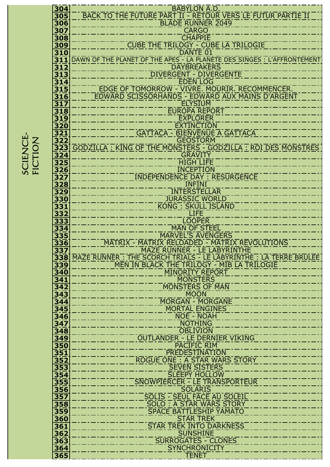SCIENCE-<br>FICTION SCIENCES SURFIERINGS EN L'ANNONCERT EN L'ANNONCERT EN L'ANNONCERT EN L'ANNONCERT EN L'ANNONCERT EN L'ANNONCERT **NOILUI EN CONTRA DE CONTRA DE CONTRA DE CONTRA DE CONTRA DE CONTRA DE CONTRA DE CONTRA DE CONTRA DE CONTRA DE** 

| 304              | <b>BABYLON A.D.</b>                                                     |
|------------------|-------------------------------------------------------------------------|
| 305              | BACK TO THE FUTURE PART II - RETOUR VERS LE FUTUR PARTIE II             |
| 306              | <b>BLADE RUNNER 2049</b>                                                |
| 307              | <b>CARGO</b>                                                            |
| 308              | <b>CHAPPIE</b>                                                          |
| 309              | <b>CUBE THE TRILOGY - CUBE LA TRILOGIE</b>                              |
| 310              | DANTE 01                                                                |
| $\overline{311}$ | DAWN OF THE PLANET OF THE APES - LA PLANETE DES SINGES : L'AFFRONTEMENT |
| 312              | <b>DAYBREAKERS</b>                                                      |
| 313              | <b>DIVERGENT - DIVERGENTE</b>                                           |
| 314              | <b>EDEN LOG</b>                                                         |
| 315              | EDGE OF TOMORROW - VIVRE. MOURIR. RECOMMENCER.                          |
| 316              | EDWARD SCISSORHANDS - EDWARD AUX MAINS D'ARGENT                         |
| $\overline{317}$ | <b>ELYSIUM</b>                                                          |
| 318              | <b>EUROPA REPORT</b>                                                    |
| 319              | <b>EXPLORER</b>                                                         |
| <b>320</b>       | <b>EXTINCTION</b>                                                       |
| 321              | <b>GATTACA - BIENVENUE A GATTACA</b>                                    |
| 322              | <b>GEOSTORM</b>                                                         |
| $\overline{323}$ | GODZILLA: KING OF THE MONSTERS - GODZILLA: ROI DES MONSTRES             |
| <u>324</u>       | <b>GRAVITY</b>                                                          |
| $\overline{325}$ | <b>HIGH LIFE</b>                                                        |
| 326              | <b>INCEPTION</b>                                                        |
| $\overline{327}$ | <b>INDEPENDENCE DAY: RESURGENCE</b>                                     |
| <b>328</b>       | <b>INFINI</b>                                                           |
| 329              | <b>INTERSTELLAR</b>                                                     |
| 330              | <b>JURASSIC WORLD</b>                                                   |
| <u>331</u>       | <b>KONG : SKULL ISLAND</b>                                              |
| 332              | <b>LIFE</b>                                                             |
| 333              | <b>LOOPER</b>                                                           |
| 334              | <b>MAN OF STEEL</b>                                                     |
| 335              | <b>MARVEL'S AVENGERS</b>                                                |
| 336              | MATRIX - MATRIX RELOADED - MATRIX REVOLUTIONS                           |
| $\overline{337}$ | <b>MAZE RUNNER - LE LABYRINTHE</b>                                      |
| 338              | MAZE RUNNER: THE SCORCH TRIALS - LE LABYRINTHE: LA TERRE BRULÉE         |
| 339              | MEN IN BLACK THE TRILOGY - MIB LA TRILOGIE                              |
| 340              | <b>MINORITY REPORT</b>                                                  |
| 341              | <b>MONSTERS</b>                                                         |
| 342              | MONSTERS OF MAN                                                         |
| 343              | <b>MOON</b>                                                             |
| 344              | <b>MORGAN - MORGANE</b>                                                 |
| 345              | <b>MORTAL ENGINES</b>                                                   |
| 346              | NOE - NOAH                                                              |
| 347              | <b>NOTHING</b>                                                          |
| $\frac{1}{348}$  | <b>OBLIVION</b>                                                         |
| 349              | OUTLANDER - LE DERNIER VIKING                                           |
| 350              | <b>PACIFIC RIM</b>                                                      |
| 351              | <b>PREDESTINATION</b>                                                   |
| $352$            |                                                                         |
|                  | ROGUE ONE : A STAR WARS STORY                                           |
| 353              | <b>SEVEN SISTERS</b>                                                    |
| 354              | <b>SLEEPY HOLLOW</b>                                                    |
| 355              | SNOWPIERCER - LE TRANSPORTEUR                                           |
| <b>356</b>       | <b>SOLARIS</b>                                                          |
| 357              | <b>SOLIS - SEUL FACE AU SOLEIL</b>                                      |
| 358              | SOLO : A STAR WARS STORY                                                |
| 359              | <b>SPACE BATTLESHIP YAMATO</b>                                          |
| 360              | <b>STAR TREK</b>                                                        |
| 361              | <b>STAR TREK INTO DARKNESS</b>                                          |
| 362              | <b>SUNSHINE</b>                                                         |
| 363              | <b>SURROGATES - CLONES</b>                                              |
| 364<br>365       | <b>SYNCHRONICITY</b><br><b>TENET</b>                                    |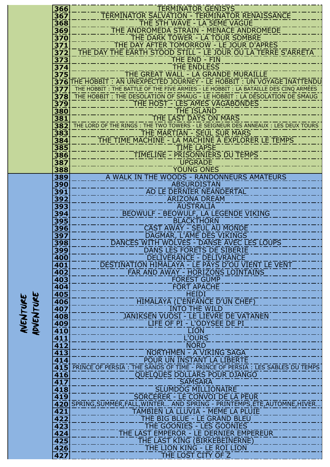| AVENTURE | ADVENTURE |
|----------|-----------|
|          |           |

SCIENCE-EXPLORATION

FICTION

والمعاد - - - المعامل

- - -- -- - -- - ----

| 366              | <b>TERMINATOR GENISYS</b>                                                                                         |
|------------------|-------------------------------------------------------------------------------------------------------------------|
| 367              | <b>TERMINATOR SALVATION - TERMINATOR RENAISSANCE</b>                                                              |
| 368              | THE 5TH WAVE - LA 5EME VAGUE                                                                                      |
| 369<br>370       | THE ANDROMEDA STRAIN - MENACE ANDROMEDE<br>THE DARK TOWER - LA TOUR SOMBRE                                        |
| 371              | THE DAY AFTER TOMORROW - LE JOUR D'APRÈS                                                                          |
| $\overline{372}$ | THE DAY THE EARTH STOOD STILL - LE JOUR OU LA TERRE S'ARRETA                                                      |
| 373              | THE END - FIN                                                                                                     |
| $374$            | <b>THE ENDLESS</b>                                                                                                |
| 375              | THE GREAT WALL - LA GRANDE MURAILLE                                                                               |
|                  | 376 THE HOBBIT: AN UNEXPECTED JOURNEY - LE HOBBIT: UN VOYAGE INATTENDU                                            |
| $\overline{377}$ | THE HOBBIT : THE BATTLE OF THE FIVE ARMIES - LE HOBBIT : LA BATAILLE DES CINQ ARMÉES                              |
| $\overline{378}$ | THE HOBBIT : THE DESOLATION OF SMAUG - LE HOBBIT : LA DESOLATION DE SMAUG                                         |
| 379              | THE HOST - LES AMES VAGABONDES<br><b>THE ISLAND</b>                                                               |
| 380<br>381       | THE LAST DAYS ON MARS                                                                                             |
| 382              | THE LORD OF THE RINGS : THE TWO TOWERS - LE SEIGNEUR DES ANNEAUX : LES DEUX TOURS                                 |
| 383              | THE MARTIAN - SEUL SUR MARS                                                                                       |
| 384              | THE TIME MACHINE - LA MACHINE A EXPLORER LE TEMPS                                                                 |
| 385              | <b>TIME LAPSE</b>                                                                                                 |
| 386              | TIMELINE - PRISONNIERS DU TEMPS                                                                                   |
| 387              | <b>UPGRADE</b>                                                                                                    |
| 388              | <b>YOUNG ONES</b>                                                                                                 |
| 389              | A WALK IN THE WOODS - RANDONNEURS AMATEURS                                                                        |
| 390<br>391       | <b>ABSURDISTAN</b><br>AO LE DERNIER NEANDERTAL                                                                    |
| 392              | <b>ARIZONA DREAM</b>                                                                                              |
| 393              | <b>AUSTRALIA</b>                                                                                                  |
| <u>394</u>       | BEOWULF - BEOWULF, LA LEGENDE VIKING                                                                              |
| 395              | <b>BLACKTHORN</b>                                                                                                 |
| 396              | <b>CAST AWAY - SEUL AU MONDE</b>                                                                                  |
| 397              | DAGMAR, L'AME DES VIKINGS                                                                                         |
| 398              | DANCES WITH WOLVES - DANSE AVEC LES LOUPS                                                                         |
| <u>399</u>       | DANS LES FORÊTS DE SIBÉRIE                                                                                        |
| 400<br>401       | <b>DELIVERANCE - DÉLIVRANCE</b><br>DESTINATION HIMALAYA - LE PAYS D'OU VIENT LE VENT                              |
| 402              | FAR AND AWAY - HORIZONS LOINTAINS                                                                                 |
| 403              | <b>FOREST GUMP</b>                                                                                                |
| 404              | <b>FORT APACHE</b>                                                                                                |
| <b>405</b>       | <b>HEIDI</b>                                                                                                      |
| 406              | <b>HIMALAYA (L'ENFANCE D'UN CHEF)</b>                                                                             |
| 407              | <b>INTO THE WILD</b>                                                                                              |
| 408              | <b>JANIKSEN VUOST - LE LIEVRE DE VATANEN</b>                                                                      |
| 409              | LIFE OF PI - L'ODYSEE DE PI                                                                                       |
| 410<br>411       | <b>LION</b><br>L'OURS                                                                                             |
| $\overline{412}$ | <b>NORD</b>                                                                                                       |
| 413              | . <u>.</u> .<br>NORTHMEN - A VIKING SAGA                                                                          |
| 414              | POUR UN INSTANT LA LIBERTÉ                                                                                        |
|                  | 415 PRINCE OF PERSIA : THE SANDS OF TIME - PRINCE OF PERSIA : LES SABLES DU TEMPS                                 |
| $\overline{416}$ | QUELQUES DOLLARS POUR DJANGO                                                                                      |
| 417              | <b>SAMSARA</b>                                                                                                    |
| 418              | <b>SLUMDOG MILLIONAIRE</b>                                                                                        |
| 419              | SORCERER - LE CONVOI DE LA PEUR                                                                                   |
| 421              | 420 SPRING, SUMMER, FALL, WINTER AND SPRING - PRINTEMPS, ETE, AUTOMNE, HIVER<br>TAMBIEN LA LLUVIA - MÉME LA PLUIE |
| 422              | THE BIG BLUE - LE GRAND BLEU                                                                                      |
| $\overline{423}$ | THE GOONIES - LES GOONIES                                                                                         |
| $\overline{424}$ | <b>THE LAST EMPEROR - LE DERNIER EMPEREUR</b>                                                                     |
| 425              | THE LAST KING (BIRKEBEINERNE)                                                                                     |
| $\overline{426}$ | THE LION KING - LE ROT LION                                                                                       |
| 427              | THE LOST CITY OF Z                                                                                                |

- - -

\_\_\_\_\_\_\_\_

---- - - - 7

---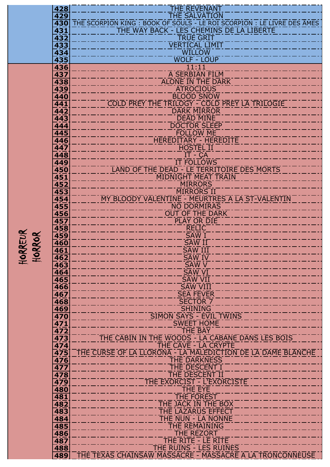| 428        | <b>THE REVENANT</b>                                                                                               |
|------------|-------------------------------------------------------------------------------------------------------------------|
| 429        | <b>THE SALVATION</b>                                                                                              |
| 430<br>431 | THE SCORPION KING: BOOK OF SOULS - LE ROI SCORPION: LE LIVRE DES ÂMES<br>THE WAY BACK - LES CHEMINS DE LA LIBERTE |
| 432        | <b>TRUE GRIT</b>                                                                                                  |
| 433        | <b>VERTICAL LIMIT</b>                                                                                             |
| 434        | <b>WILLOW</b>                                                                                                     |
| 435        | <b>WOLF - LOUP</b>                                                                                                |
| 436        | 11:11                                                                                                             |
| 437<br>438 | A SERBIAN FILM<br><b>ALONE IN THE DARK</b>                                                                        |
| 439        | <b>ATROCIOUS</b>                                                                                                  |
| 440        | <b>BLOOD SNOW</b>                                                                                                 |
| 441        | COLD PREY THE TRILOGY - COLD PREY LA TRILOGIE                                                                     |
| 442        | <b>DARK MIRROR</b>                                                                                                |
| 443        | <b>DEAD MINE</b>                                                                                                  |
| 444<br>445 | <b>DOCTOR SLEEP</b><br><b>FOLLOW ME</b>                                                                           |
| 446        | HEREDITARY - HEREDITE                                                                                             |
| 447        | <b>HOSTEL II</b>                                                                                                  |
| 448        | $IT - CA$                                                                                                         |
| 449        | <b>IT FOLLOWS</b>                                                                                                 |
| 450        | LAND OF THE DEAD - LE TERRITOIRE DES MORTS                                                                        |
| 451<br>452 | <b>MIDNIGHT MEAT TRAIN</b><br><b>MIRRORS</b>                                                                      |
| 453        | <b>MIRRORS II</b>                                                                                                 |
| 454        | MY BLOODY VALENTINE - MEURTRES A LA ST-VALENTIN                                                                   |
| 455        | NO DORMIRAS                                                                                                       |
| 456        | <b>OUT OF THE DARK</b>                                                                                            |
| 457        | <b>PLAY OR DIE</b><br><u>sin sin sin sin sin sin s</u><br><b>RELIC</b>                                            |
| 458<br>459 | <b>SAW I</b>                                                                                                      |
| 460        | SAW II                                                                                                            |
| 461        | <b>SAW III</b>                                                                                                    |
| 462        | <b>SAW IV</b>                                                                                                     |
| 463        | <b>SAW V</b>                                                                                                      |
| 464<br>465 | <b>SAW VI</b><br><b>SAW VII</b>                                                                                   |
| 466        | <b>SAW VIII</b>                                                                                                   |
| 467        | <b>SEA FEVER</b>                                                                                                  |
| 468        | <b>SECTOR 7</b>                                                                                                   |
| 469        | <b>SHINING</b>                                                                                                    |
| 470        | <b>SIMON SAYS - EVIL TWINS</b>                                                                                    |
| 471<br>472 | <b>SWEET HOME</b><br>THE BAY                                                                                      |
| 473        | THE CABIN IN THE WOODS - LA CABANE DANS LES BOIS                                                                  |
| 474        | THE CAVE - LA CRYPTE                                                                                              |
| 475        | THE CURSE OF LA LLORONA - LA MALÉDICTION DE LA DAME BLANCHE                                                       |
| 476        | <b>THE DARKNESS</b>                                                                                               |
| 477<br>478 | THE DESCENT I<br><b>THE DESCENT II</b>                                                                            |
| 479        | THE EXORCIST - L'EXORCISTE                                                                                        |
| 480        | <b>THE EYE</b>                                                                                                    |
| 481        | <b>THE FOREST</b>                                                                                                 |
| 482        | THE JACK IN THE BOX                                                                                               |
| 483        | <b>THE LAZARUS EFFECT</b><br>THE NUN - LA NONNE                                                                   |
| 484<br>485 | <b>THE REMAINING</b>                                                                                              |
| 486        | <b>THE REZORT</b>                                                                                                 |
| 487        | THE RITE - LE RITE                                                                                                |
| 488        | THE RUINS - LES RUINES                                                                                            |
| 489        | THE TEXAS CHAINSAW MASSACRE - MASSACRE A LA TRONCONNEUSE                                                          |

HORREUR<br>HORROR HORREUR HORROR